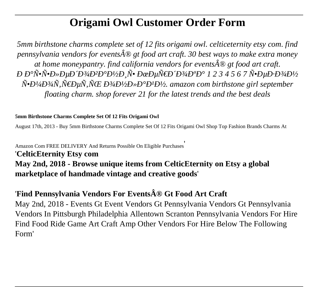# **Origami Owl Customer Order Form**

*5mm birthstone charms complete set of 12 fits origami owl. celticeternity etsy com. find pennsylvania vendors for events® gt food art craft. 30 best ways to make extra money at home moneypantry. find california vendors for events* $\hat{A} \otimes g$ *t food art craft. Р Р°Ñ•Ñ•Ð»ÐµÐ Đ3/4Ð<sup>2</sup>аĐ<sup>1</sup>/2Đ<sub>,</sub>Ñ• ĐœĐµÑ€Đ Đ3/4аа 1 2 3 4 5 6 7 Ñ•ĐµĐ⋅Đ3/4Đ<sup>1</sup>/2*  $\tilde{N}$ • $D$ <sup>1</sup>/4 $D$ <sup>3</sup>/4 $\tilde{N}$ , $\tilde{N}$ € $D\mu\tilde{N}$ , $\tilde{N}$   $E$   $D$ <sup>3</sup>/4 $D$ <sup>1</sup>/2 $D$ » $D$ ° $D$ <sup>1</sup> $D$ <sup>1</sup>/2, amazon com birthstone girl september *floating charm. shop forever 21 for the latest trends and the best deals*

#### **5mm Birthstone Charms Complete Set Of 12 Fits Origami Owl**

August 17th, 2013 - Buy 5mm Birthstone Charms Complete Set Of 12 Fits Origami Owl Shop Top Fashion Brands Charms At

Amazon Com FREE DELIVERY And Returns Possible On Eligible Purchases' '**CelticEternity Etsy com May 2nd, 2018 - Browse unique items from CelticEternity on Etsy a global marketplace of handmade vintage and creative goods**'

## 'Find Pennsylvania Vendors For Events® Gt Food Art Craft

May 2nd, 2018 - Events Gt Event Vendors Gt Pennsylvania Vendors Gt Pennsylvania Vendors In Pittsburgh Philadelphia Allentown Scranton Pennsylvania Vendors For Hire Find Food Ride Game Art Craft Amp Other Vendors For Hire Below The Following Form'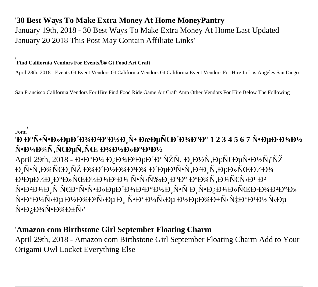# '30 Best Ways To Make Extra Money At Home MoneyPantry January 19th, 2018 - 30 Best Ways To Make Extra Money At Home Last Updated January 20 2018 This Post May Contain Affiliate Links'

#### Find California Vendors For Events® Gt Food Art Craft

April 28th, 2018 - Events Gt Event Vendors Gt California Vendors Gt California Event Vendors For Hire In Los Angeles San Diego

San Francisco California Vendors For Hire Find Food Ride Game Art Craft Amp Other Vendors For Hire Below The Following

Form

# *'*РаѕѕĐ»ĐμĐ Đ¾Đ<sup>2</sup>аĐ½Đ Ñ• ĐœĐμÑ€Đ Đ¾Đ°Đ° 1 2 3 4 5 6 7 Ñ•ĐμĐ·Đ¾Đ½ Ñ•Đ¼Đ¾Ñ,Ñ€ĐµÑ,ÑŒ Đ¾Đ½Đ»Đ°Đ<sup>1</sup>Đ½

April 29th, 2018 - ЕаĐ¼ Đ<sub>i</sub>Đ¾Đ<sup>2</sup>еРаÑŽÑ, Đ<sub>i</sub>Đ½Ñ,еÑ €ĐµÑ•Đ½Ñ fÑŽ Đ<sup>3</sup>еĐ½Đ Đ°Đ»ÑŒĐ½Đ¾Đ<sup>3</sup>4Đ<sup>3</sup>Đ¾ Ñ•Ñ<щРаа аĐ¾Ñ,Đ¾Ñ€Ñ<Đ<sup>1</sup> Đ<sup>2</sup> Ñ•Đ<sup>2</sup>Đ<sup>3</sup>/4Đ Ñ Ñ€Đ°Ñ•Ñ•Đ»ĐuĐ Đ<sup>3</sup>/4Đ<sup>2</sup>аĐ½Đ Ñ•Ň Đ Ñ•Đ*i* Đ<sup>3</sup>/4Đ»ÑŒĐ·Đ<sup>3</sup>/4Đ<sup>2</sup>аĐ» Ñ•Đ°Đ¼Ñ<е Đ½Đ¾Đ<sup>2</sup>Ñ<е Đ, Ñ•Đ°Đ¼Ñ<е Đ½ĐµĐ¾Đ±Ñ<чаĐ½Ď¼Ñ<е  $\tilde{N}$ • $D_L$  $D$ <sup>3</sup> $/4\tilde{N}$ • $D$ <sup>3</sup> $/4D \pm \tilde{N}$ √

### 'Amazon com Birthstone Girl September Floating Charm

April 29th, 2018 - Amazon com Birthstone Girl September Floating Charm Add to Your Origami Owl Locket Everything Else'